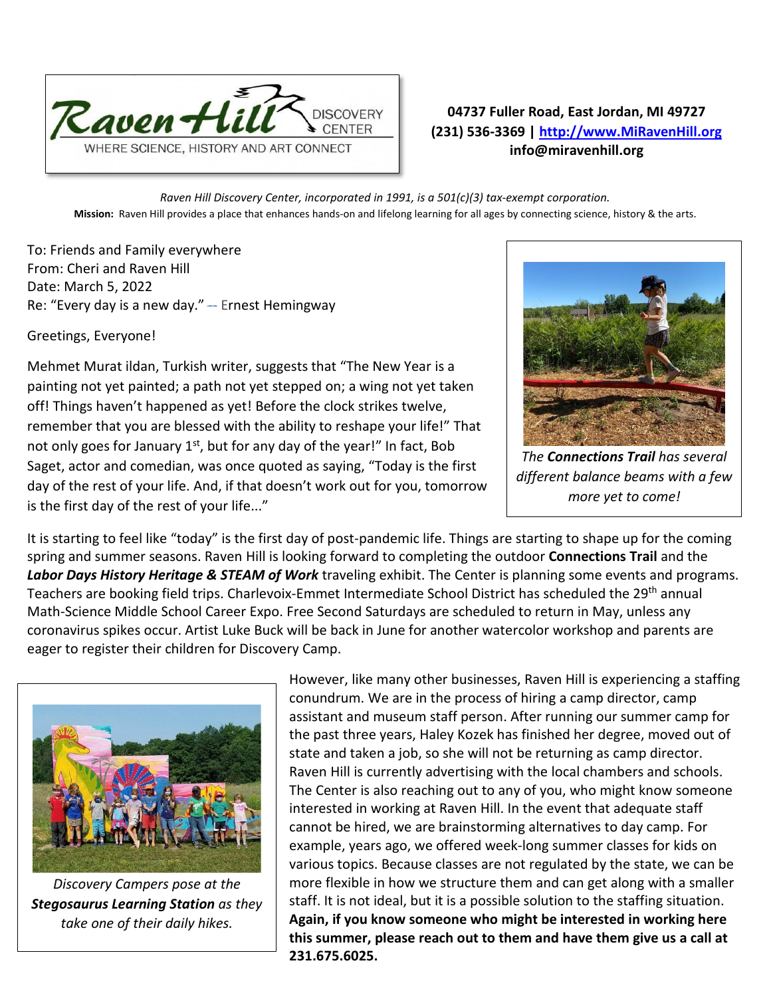

## **04737 Fuller Road, East Jordan, MI 49727 (231) 536-3369 | [http://www.MiRavenHill.org](http://www.miravenhill.org/) info@miravenhill.org**

*Raven Hill Discovery Center, incorporated in 1991, is a 501(c)(3) tax-exempt corporation.* **Mission:** Raven Hill provides a place that enhances hands-on and lifelong learning for all ages by connecting science, history & the arts.

To: Friends and Family everywhere From: Cheri and Raven Hill Date: March 5, 2022 Re: "Every day is a new day." -- Ernest Hemingway

Greetings, Everyone!

Mehmet Murat ildan, Turkish writer, suggests that "The New Year is a painting not yet painted; a path not yet stepped on; a wing not yet taken off! Things haven't happened as yet! Before the clock strikes twelve, remember that you are blessed with the ability to reshape your life!" That not only goes for January  $1<sup>st</sup>$ , but for any day of the year!" In fact, Bob Saget, actor and comedian, was once quoted as saying, "Today is the first day of the rest of your life. And, if that doesn't work out for you, tomorrow is the first day of the rest of your life..."



*The Connections Trail has several different balance beams with a few more yet to come!*

It is starting to feel like "today" is the first day of post-pandemic life. Things are starting to shape up for the coming spring and summer seasons. Raven Hill is looking forward to completing the outdoor **Connections Trail** and the Labor Days History Heritage & STEAM of Work traveling exhibit. The Center is planning some events and programs. Teachers are booking field trips. Charlevoix-Emmet Intermediate School District has scheduled the 29<sup>th</sup> annual Math-Science Middle School Career Expo. Free Second Saturdays are scheduled to return in May, unless any coronavirus spikes occur. Artist Luke Buck will be back in June for another watercolor workshop and parents are eager to register their children for Discovery Camp.



*Discovery Campers pose at the Stegosaurus Learning Station as they take one of their daily hikes.* 

However, like many other businesses, Raven Hill is experiencing a staffing conundrum. We are in the process of hiring a camp director, camp assistant and museum staff person. After running our summer camp for the past three years, Haley Kozek has finished her degree, moved out of state and taken a job, so she will not be returning as camp director. Raven Hill is currently advertising with the local chambers and schools. The Center is also reaching out to any of you, who might know someone interested in working at Raven Hill. In the event that adequate staff cannot be hired, we are brainstorming alternatives to day camp. For example, years ago, we offered week-long summer classes for kids on various topics. Because classes are not regulated by the state, we can be more flexible in how we structure them and can get along with a smaller staff. It is not ideal, but it is a possible solution to the staffing situation. **Again, if you know someone who might be interested in working here this summer, please reach out to them and have them give us a call at 231.675.6025.**